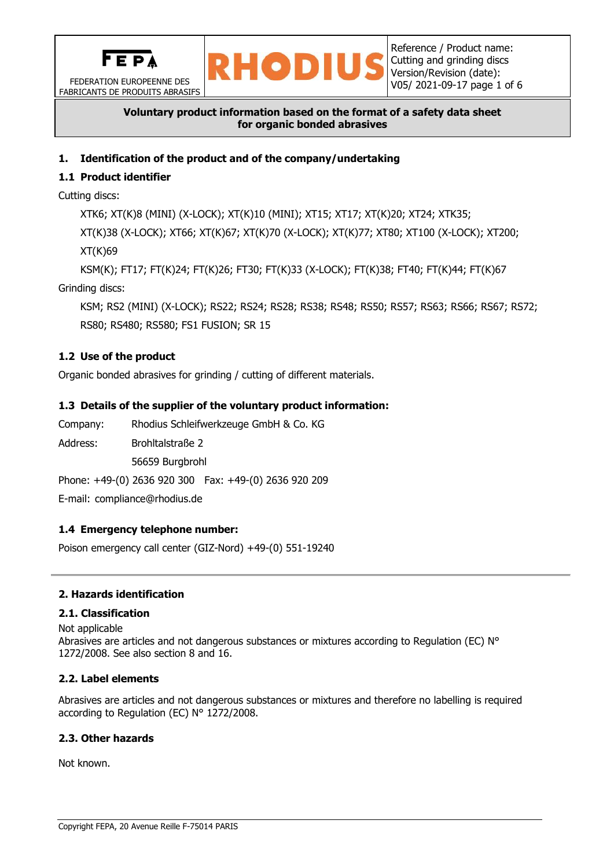

FEDERATION EUROPEENNE DES FABRICANTS DE PRODUITS ABRASIFS



## **Voluntary product information based on the format of a safety data sheet for organic bonded abrasives**

# **1. Identification of the product and of the company/undertaking**

# **1.1 Product identifier**

Cutting discs:

XTK6; XT(K)8 (MINI) (X-LOCK); XT(K)10 (MINI); XT15; XT17; XT(K)20; XT24; XTK35;

XT(K)38 (X-LOCK); XT66; XT(K)67; XT(K)70 (X-LOCK); XT(K)77; XT80; XT100 (X-LOCK); XT200; XT(K)69

KSM(K); FT17; FT(K)24; FT(K)26; FT30; FT(K)33 (X-LOCK); FT(K)38; FT40; FT(K)44; FT(K)67 Grinding discs:

KSM; RS2 (MINI) (X-LOCK); RS22; RS24; RS28; RS38; RS48; RS50; RS57; RS63; RS66; RS67; RS72; RS80; RS480; RS580; FS1 FUSION; SR 15

## **1.2 Use of the product**

Organic bonded abrasives for grinding / cutting of different materials.

## **1.3 Details of the supplier of the voluntary product information:**

Company: Rhodius Schleifwerkzeuge GmbH & Co. KG Address: Brohltalstraße 2 56659 Burgbrohl Phone: +49-(0) 2636 920 300 Fax: +49-(0) 2636 920 209 E-mail: compliance@rhodius.de

## **1.4 Emergency telephone number:**

Poison emergency call center (GIZ-Nord) +49-(0) 551-19240

## **2. Hazards identification**

## **2.1. Classification**

### Not applicable

Abrasives are articles and not dangerous substances or mixtures according to Regulation (EC) N° 1272/2008. See also section 8 and 16.

## **2.2. Label elements**

Abrasives are articles and not dangerous substances or mixtures and therefore no labelling is required according to Regulation (EC) N° 1272/2008.

## **2.3. Other hazards**

Not known.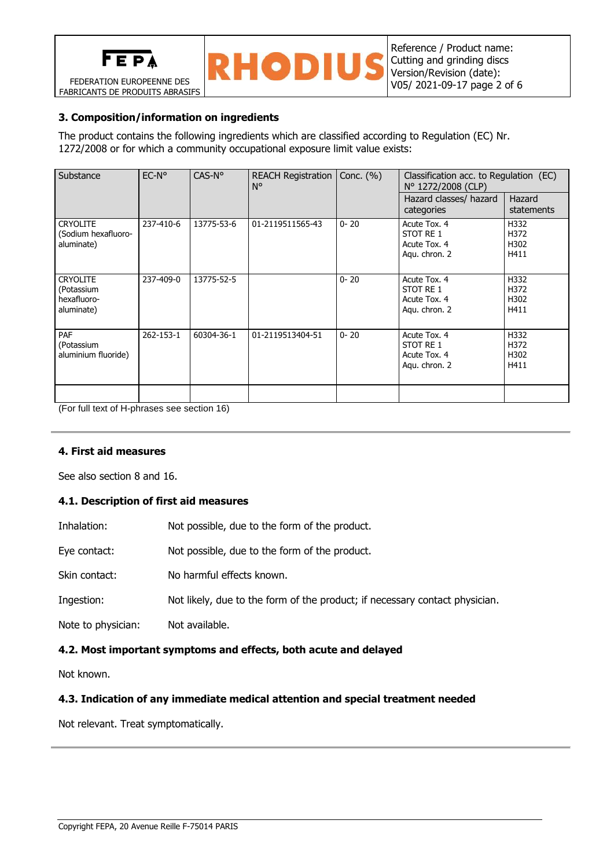

FEDERATION EUROPEENNE DES FABRICANTS DE PRODUITS ABRASIFS



## **3. Composition/information on ingredients**

The product contains the following ingredients which are classified according to Regulation (EC) Nr. 1272/2008 or for which a community occupational exposure limit value exists:

| Substance                                                  | $EC-No$   | $CAS-No$   | REACH Registration   Conc. (%)<br>N° |          | Classification acc. to Regulation (EC)<br>N° 1272/2008 (CLP) |                              |  |
|------------------------------------------------------------|-----------|------------|--------------------------------------|----------|--------------------------------------------------------------|------------------------------|--|
|                                                            |           |            |                                      |          | Hazard classes/ hazard<br>categories                         | Hazard<br>statements         |  |
| <b>CRYOLITE</b><br>(Sodium hexafluoro-<br>aluminate)       | 237-410-6 | 13775-53-6 | 01-2119511565-43                     | $0 - 20$ | Acute Tox, 4<br>STOT RE 1<br>Acute Tox, 4<br>Agu. chron. 2   | H332<br>H372<br>H302<br>H411 |  |
| <b>CRYOLITE</b><br>(Potassium<br>hexafluoro-<br>aluminate) | 237-409-0 | 13775-52-5 |                                      | $0 - 20$ | Acute Tox, 4<br>STOT RE 1<br>Acute Tox. 4<br>Aqu. chron. 2   | H332<br>H372<br>H302<br>H411 |  |
| PAF<br>(Potassium<br>aluminium fluoride)                   | 262-153-1 | 60304-36-1 | 01-2119513404-51                     | $0 - 20$ | Acute Tox, 4<br>STOT RE 1<br>Acute Tox. 4<br>Agu. chron. 2   | H332<br>H372<br>H302<br>H411 |  |
|                                                            |           |            |                                      |          |                                                              |                              |  |

(For full text of H-phrases see section 16)

### **4. First aid measures**

See also section 8 and 16.

### **4.1. Description of first aid measures**

| 4.2. Most important symptoms and effects, both acute and delayed |                                                                             |  |  |  |  |
|------------------------------------------------------------------|-----------------------------------------------------------------------------|--|--|--|--|
| Note to physician:                                               | Not available.                                                              |  |  |  |  |
| Ingestion:                                                       | Not likely, due to the form of the product; if necessary contact physician. |  |  |  |  |
| Skin contact:                                                    | No harmful effects known.                                                   |  |  |  |  |
| Eye contact:                                                     | Not possible, due to the form of the product.                               |  |  |  |  |
| Inhalation:                                                      | Not possible, due to the form of the product.                               |  |  |  |  |

Not known.

### **4.3. Indication of any immediate medical attention and special treatment needed**

Not relevant. Treat symptomatically.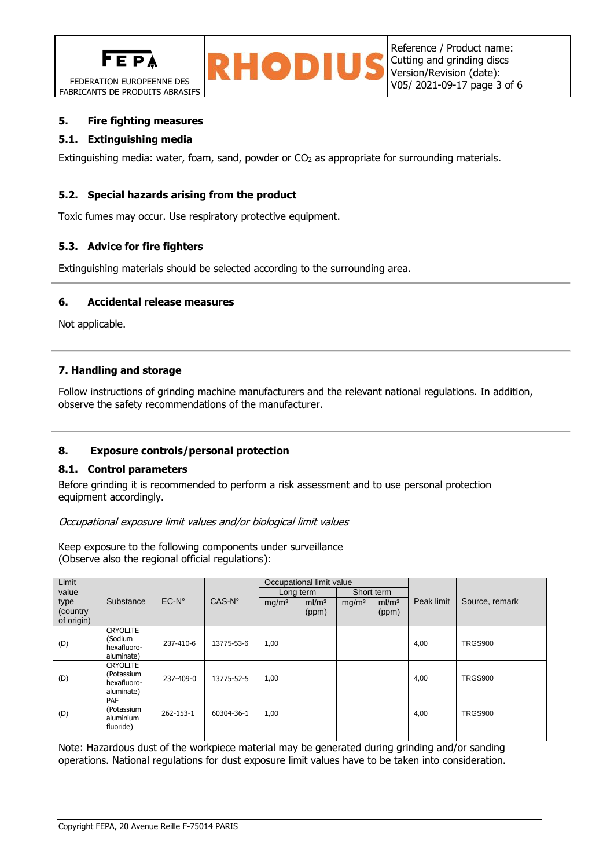





### **5. Fire fighting measures**

### **5.1. Extinguishing media**

Extinguishing media: water, foam, sand, powder or CO<sub>2</sub> as appropriate for surrounding materials.

### **5.2. Special hazards arising from the product**

Toxic fumes may occur. Use respiratory protective equipment.

### **5.3. Advice for fire fighters**

Extinguishing materials should be selected according to the surrounding area.

### **6. Accidental release measures**

Not applicable.

### **7. Handling and storage**

Follow instructions of grinding machine manufacturers and the relevant national regulations. In addition, observe the safety recommendations of the manufacturer.

### **8. Exposure controls/personal protection**

### **8.1. Control parameters**

Before grinding it is recommended to perform a risk assessment and to use personal protection equipment accordingly.

### Occupational exposure limit values and/or biological limit values

Keep exposure to the following components under surveillance (Observe also the regional official regulations):

| Limit                          |                                                            |                |            | Occupational limit value |                           |                   |                            |            |                |
|--------------------------------|------------------------------------------------------------|----------------|------------|--------------------------|---------------------------|-------------------|----------------------------|------------|----------------|
| value                          |                                                            |                |            | Long term                |                           | Short term        |                            |            |                |
| type<br>(country<br>of origin) | Substance                                                  | $EC-N^{\circ}$ | $CAS-N°$   | mg/m <sup>3</sup>        | m/m <sup>3</sup><br>(ppm) | mg/m <sup>3</sup> | ml/m <sup>3</sup><br>(ppm) | Peak limit | Source, remark |
| (D)                            | <b>CRYOLITE</b><br>(Sodium<br>hexafluoro-<br>aluminate)    | 237-410-6      | 13775-53-6 | 1,00                     |                           |                   |                            | 4,00       | <b>TRGS900</b> |
| (D)                            | <b>CRYOLITE</b><br>(Potassium<br>hexafluoro-<br>aluminate) | 237-409-0      | 13775-52-5 | 1,00                     |                           |                   |                            | 4,00       | <b>TRGS900</b> |
| (D)                            | PAF<br>(Potassium<br>aluminium<br>fluoride)                | 262-153-1      | 60304-36-1 | 1,00                     |                           |                   |                            | 4,00       | <b>TRGS900</b> |
|                                |                                                            |                |            |                          |                           |                   |                            |            |                |

Note: Hazardous dust of the workpiece material may be generated during grinding and/or sanding operations. National regulations for dust exposure limit values have to be taken into consideration.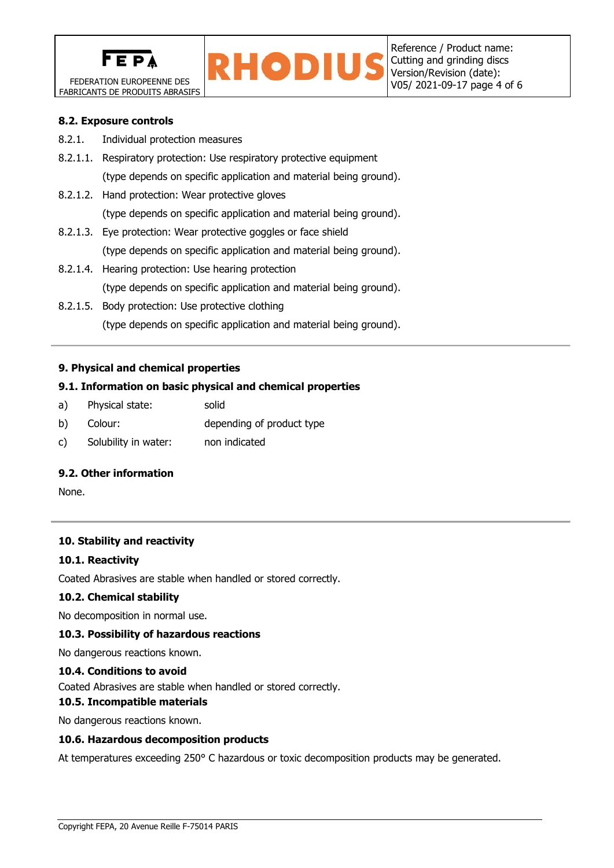



### **8.2. Exposure controls**

- 8.2.1. Individual protection measures
- 8.2.1.1. Respiratory protection: Use respiratory protective equipment (type depends on specific application and material being ground).
- 8.2.1.2. Hand protection: Wear protective gloves (type depends on specific application and material being ground).
- 8.2.1.3. Eye protection: Wear protective goggles or face shield (type depends on specific application and material being ground).
- 8.2.1.4. Hearing protection: Use hearing protection (type depends on specific application and material being ground).
- 8.2.1.5. Body protection: Use protective clothing (type depends on specific application and material being ground).

### **9. Physical and chemical properties**

### **9.1. Information on basic physical and chemical properties**

- a) Physical state: solid
- b) Colour: depending of product type
- c) Solubility in water: non indicated

### **9.2. Other information**

None.

### **10. Stability and reactivity**

### **10.1. Reactivity**

Coated Abrasives are stable when handled or stored correctly.

### **10.2. Chemical stability**

No decomposition in normal use.

### **10.3. Possibility of hazardous reactions**

No dangerous reactions known.

### **10.4. Conditions to avoid**

Coated Abrasives are stable when handled or stored correctly.

**10.5. Incompatible materials**

No dangerous reactions known.

### **10.6. Hazardous decomposition products**

At temperatures exceeding 250° C hazardous or toxic decomposition products may be generated.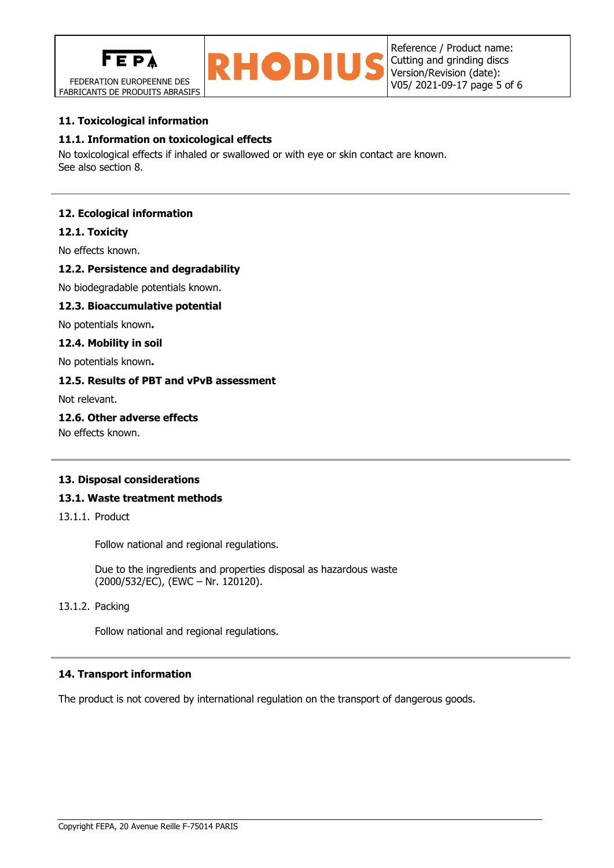

FEDERATION EUROPEENNE DES FABRICANTS DE PRODUITS ABRASIFS



## **11. Toxicological information**

## **11.1. Information on toxicological effects**

No toxicological effects if inhaled or swallowed or with eye or skin contact are known. See also section 8.

## **12. Ecological information**

### **12.1. Toxicity**

No effects known.

### **12.2. Persistence and degradability**

No biodegradable potentials known.

### **12.3. Bioaccumulative potential**

No potentials known**.**

#### **12.4. Mobility in soil**

No potentials known**.**

## **12.5. Results of PBT and vPvB assessment**

Not relevant.

### **12.6. Other adverse effects**

No effects known.

### **13. Disposal considerations**

### **13.1. Waste treatment methods**

13.1.1. Product

Follow national and regional regulations.

Due to the ingredients and properties disposal as hazardous waste (2000/532/EC), (EWC – Nr. 120120).

## 13.1.2. Packing

Follow national and regional regulations.

### **14. Transport information**

The product is not covered by international regulation on the transport of dangerous goods.